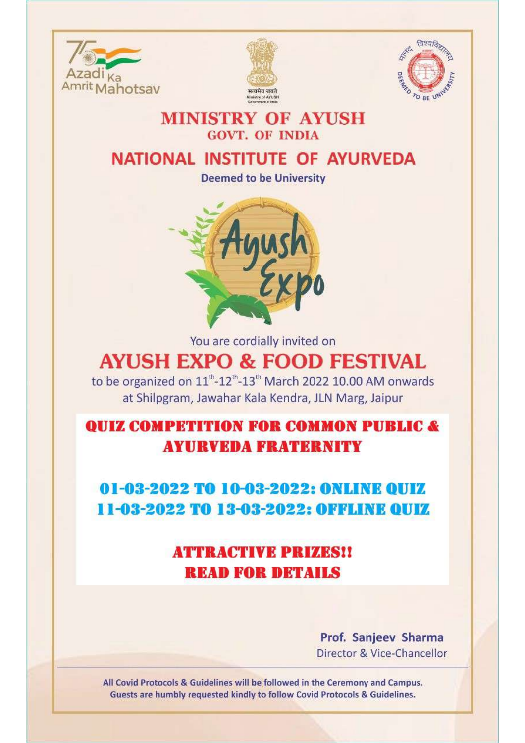





### **MINISTRY OF AYUSH GOVT. OF INDIA**

## NATIONAL INSTITUTE OF AYURVEDA

**Deemed to be University** 



You are cordially invited on

# **AYUSH EXPO & FOOD FESTIVAL**

to be organized on 11<sup>th</sup>-12<sup>th</sup>-13<sup>th</sup> March 2022 10.00 AM onwards at Shilpgram, Jawahar Kala Kendra, JLN Marg, Jaipur

**OUIZ COMPETITION FOR COMMON PUBLIC & AYURVEDA FRATERNITY** 

01-03-2022 TO 10-03-2022: ONLINE OUIZ **11-03-2022 TO 13-03-2022: OFFLINE OUIZ** 

## **ATTRACTIVE PRIZES!! READ FOR DETAILS**

Prof. Sanjeev Sharma Director & Vice-Chancellor

All Covid Protocols & Guidelines will be followed in the Ceremony and Campus. Guests are humbly requested kindly to follow Covid Protocols & Guidelines.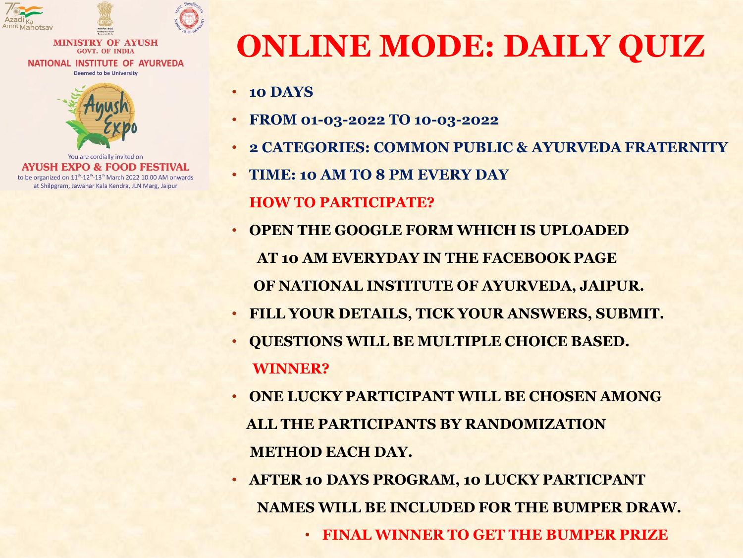

#### **MINISTRY OF AYUSH GOVT. OF INDIA** NATIONAL INSTITUTE OF AYURVEDA **Deemed to be University**



You are cordially invited on **AYUSH EXPO & FOOD FESTIVAL** to be organized on 11<sup>th</sup>-12<sup>th</sup>-13<sup>th</sup> March 2022 10.00 AM onwards at Shilpgram, Jawahar Kala Kendra, JLN Marg, Jaipur

# **ONLINE MODE: DAILY QUIZ**

- **10 DAYS**
- **FROM 01-03-2022 TO 10-03-2022**
- **2 CATEGORIES: COMMON PUBLIC & AYURVEDA FRATERNITY**
- **TIME: 10 AM TO 8 PM EVERY DAY**

### **HOW TO PARTICIPATE?**

- **OPEN THE GOOGLE FORM WHICH IS UPLOADED AT 10 AM EVERYDAY IN THE FACEBOOK PAGE OF NATIONAL INSTITUTE OF AYURVEDA, JAIPUR.**
- **FILL YOUR DETAILS, TICK YOUR ANSWERS, SUBMIT.**
- **QUESTIONS WILL BE MULTIPLE CHOICE BASED. WINNER?**
- **ONE LUCKY PARTICIPANT WILL BE CHOSEN AMONG ALL THE PARTICIPANTS BY RANDOMIZATION METHOD EACH DAY.**
- **AFTER 10 DAYS PROGRAM, 10 LUCKY PARTICPANT NAMES WILL BE INCLUDED FOR THE BUMPER DRAW.**
	- **FINAL WINNER TO GET THE BUMPER PRIZE**